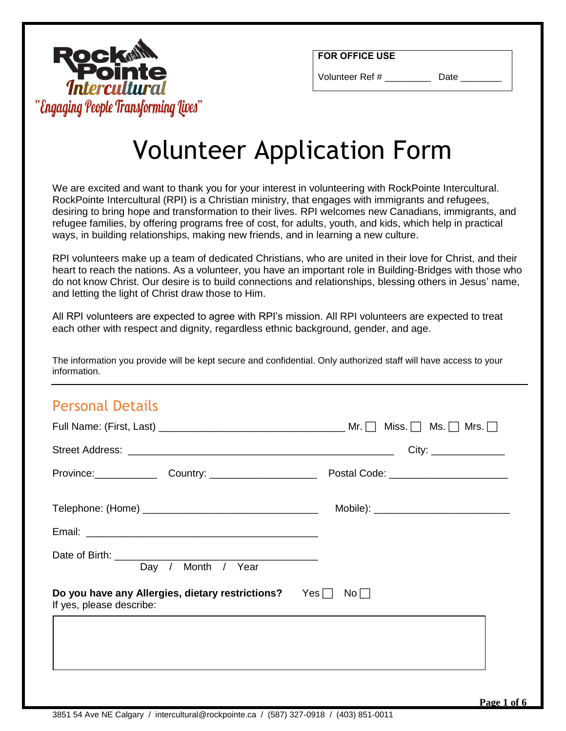

Volunteer Ref # Date

# **Rock** "Engaging People Transforming Lives"

# Volunteer Application Form

We are excited and want to thank you for your interest in volunteering with RockPointe Intercultural. RockPointe Intercultural (RPI) is a Christian ministry, that engages with immigrants and refugees, desiring to bring hope and transformation to their lives. RPI welcomes new Canadians, immigrants, and refugee families, by offering programs free of cost, for adults, youth, and kids, which help in practical ways, in building relationships, making new friends, and in learning a new culture.

RPI volunteers make up a team of dedicated Christians, who are united in their love for Christ, and their heart to reach the nations. As a volunteer, you have an important role in Building-Bridges with those who do not know Christ. Our desire is to build connections and relationships, blessing others in Jesus' name, and letting the light of Christ draw those to Him.

All RPI volunteers are expected to agree with RPI's mission. All RPI volunteers are expected to treat each other with respect and dignity, regardless ethnic background, gender, and age.

The information you provide will be kept secure and confidential. Only authorized staff will have access to your information.

#### Personal Details

| Province: Country: Country: Country: Postal Code: Communication                  |                                          |
|----------------------------------------------------------------------------------|------------------------------------------|
|                                                                                  | Mobile): _______________________________ |
|                                                                                  |                                          |
| Day / Month / Year                                                               |                                          |
| Do you have any Allergies, dietary restrictions? Yes<br>If yes, please describe: | $No$                                     |
|                                                                                  |                                          |
|                                                                                  |                                          |
|                                                                                  |                                          |
|                                                                                  | $D_{2} = 1.07$                           |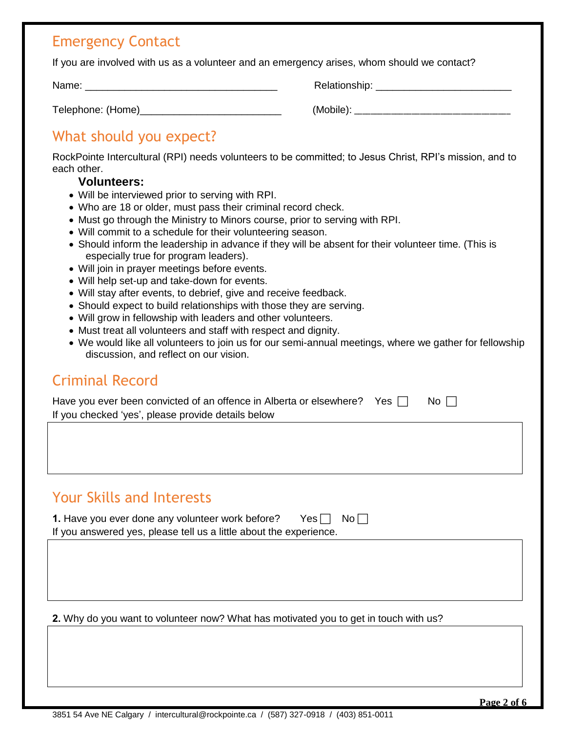#### Emergency Contact

If you are involved with us as a volunteer and an emergency arises, whom should we contact?

Name: \_\_\_\_\_\_\_\_\_\_\_\_\_\_\_\_\_\_\_\_\_\_\_\_\_\_\_\_\_\_\_\_\_\_ Relationship: \_\_\_\_\_\_\_\_\_\_\_\_\_\_\_\_\_\_\_\_\_\_\_\_

Telephone: (Home)\_\_\_\_\_\_\_\_\_\_\_\_\_\_\_\_\_\_\_\_\_\_\_\_\_ (Mobile): \_\_\_\_\_\_\_\_\_\_\_\_\_\_\_\_\_\_\_\_\_\_\_\_\_\_\_\_\_\_\_\_\_\_\_\_\_\_

# What should you expect?

RockPointe Intercultural (RPI) needs volunteers to be committed; to Jesus Christ, RPI's mission, and to each other.

#### **Volunteers:**

- Will be interviewed prior to serving with RPI.
- Who are 18 or older, must pass their criminal record check.
- Must go through the Ministry to Minors course, prior to serving with RPI.
- Will commit to a schedule for their volunteering season.
- Should inform the leadership in advance if they will be absent for their volunteer time. (This is especially true for program leaders).
- Will join in prayer meetings before events.
- Will help set-up and take-down for events.
- Will stay after events, to debrief, give and receive feedback.
- Should expect to build relationships with those they are serving.
- Will grow in fellowship with leaders and other volunteers.
- Must treat all volunteers and staff with respect and dignity.
- We would like all volunteers to join us for our semi-annual meetings, where we gather for fellowship discussion, and reflect on our vision.

## Criminal Record

| Have you ever been convicted of an offence in Alberta or elsewhere?    Yes $\,\Box$ | No $\Box$ |
|-------------------------------------------------------------------------------------|-----------|
| If you checked 'yes', please provide details below                                  |           |

## Your Skills and Interests

| 1. Have you ever done any volunteer work before?                   | Yes $\Box$ No $\Box$ |  |
|--------------------------------------------------------------------|----------------------|--|
| If you answered yes, please tell us a little about the experience. |                      |  |

**2.** Why do you want to volunteer now? What has motivated you to get in touch with us?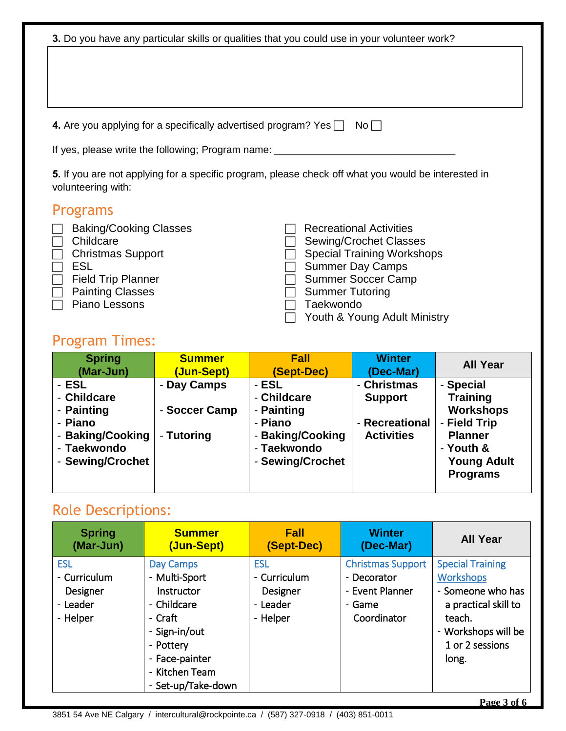| 3. Do you have any particular skills or qualities that you could use in your volunteer work?<br>4. Are you applying for a specifically advertised program? Yes $\Box$<br>If yes, please write the following; Program name:<br>5. If you are not applying for a specific program, please check off what you would be interested in |                                            |                                                                                                      | $No \Box$                                                                                                                                                                                    |                                                                                                                                          |
|-----------------------------------------------------------------------------------------------------------------------------------------------------------------------------------------------------------------------------------------------------------------------------------------------------------------------------------|--------------------------------------------|------------------------------------------------------------------------------------------------------|----------------------------------------------------------------------------------------------------------------------------------------------------------------------------------------------|------------------------------------------------------------------------------------------------------------------------------------------|
| volunteering with:                                                                                                                                                                                                                                                                                                                |                                            |                                                                                                      |                                                                                                                                                                                              |                                                                                                                                          |
| <b>Programs</b><br><b>Baking/Cooking Classes</b><br>Childcare<br><b>Christmas Support</b><br><b>ESL</b><br><b>Field Trip Planner</b><br><b>Painting Classes</b><br>Piano Lessons<br><b>Program Times:</b>                                                                                                                         |                                            | <b>Summer Tutoring</b><br>Taekwondo                                                                  | <b>Recreational Activities</b><br><b>Sewing/Crochet Classes</b><br><b>Special Training Workshops</b><br><b>Summer Day Camps</b><br><b>Summer Soccer Camp</b><br>Youth & Young Adult Ministry |                                                                                                                                          |
| <b>Spring</b><br>(Mar-Jun)                                                                                                                                                                                                                                                                                                        | <b>Summer</b><br>(Jun-Sept)                | <b>Fall</b><br>(Sept-Dec)                                                                            | <b>Winter</b><br>(Dec-Mar)                                                                                                                                                                   | <b>All Year</b>                                                                                                                          |
| - ESL<br>- Childcare<br>- Painting<br>- Piano<br>- Baking/Cooking<br>- Taekwondo<br>- Sewing/Crochet                                                                                                                                                                                                                              | - Day Camps<br>- Soccer Camp<br>- Tutoring | - ESL<br>- Childcare<br>- Painting<br>- Piano<br>- Baking/Cooking<br>- Taekwondo<br>- Sewing/Crochet | - Christmas<br><b>Support</b><br>- Recreational<br><b>Activities</b>                                                                                                                         | - Special<br><b>Training</b><br><b>Workshops</b><br>- Field Trip<br><b>Planner</b><br>- Youth &<br><b>Young Adult</b><br><b>Programs</b> |

# Role Descriptions:

| <b>Spring</b><br>(Mar-Jun)                                     | <b>Summer</b><br>(Jun-Sept)                                                                                                                                | <b>Fall</b><br>(Sept-Dec)                                      | <b>Winter</b><br>(Dec-Mar)                                                          | <b>All Year</b>                                                                                                                                       |
|----------------------------------------------------------------|------------------------------------------------------------------------------------------------------------------------------------------------------------|----------------------------------------------------------------|-------------------------------------------------------------------------------------|-------------------------------------------------------------------------------------------------------------------------------------------------------|
| <b>ESL</b><br>- Curriculum<br>Designer<br>- Leader<br>- Helper | Day Camps<br>- Multi-Sport<br>Instructor<br>- Childcare<br>- Craft<br>- Sign-in/out<br>- Pottery<br>- Face-painter<br>- Kitchen Team<br>- Set-up/Take-down | <b>ESL</b><br>- Curriculum<br>Designer<br>- Leader<br>- Helper | <b>Christmas Support</b><br>- Decorator<br>- Event Planner<br>- Game<br>Coordinator | <b>Special Training</b><br><b>Workshops</b><br>- Someone who has<br>a practical skill to<br>teach.<br>- Workshops will be<br>1 or 2 sessions<br>long. |
|                                                                |                                                                                                                                                            |                                                                |                                                                                     | Page 3 of 6                                                                                                                                           |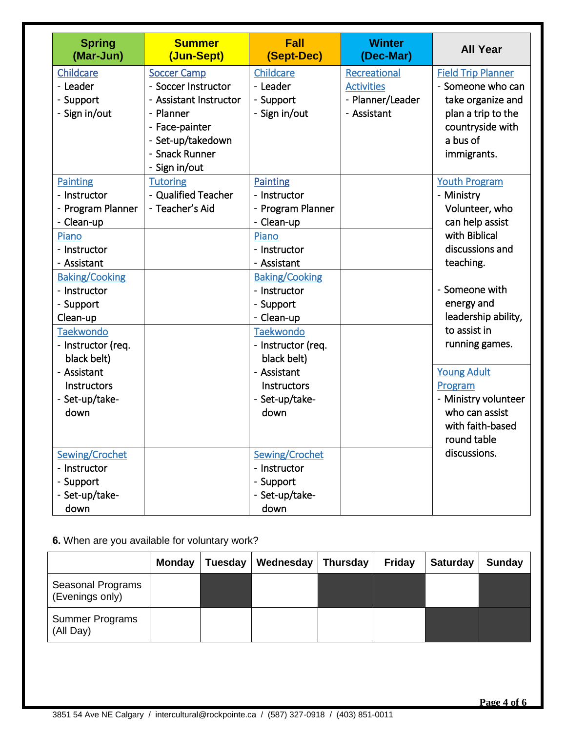| <b>Spring</b><br>(Mar-Jun)                                                                                                                                                                                                                                          | <b>Summer</b><br>(Jun-Sept)                                                                                                               | <b>Fall</b><br>(Sept-Dec)                                                                                                                                                                                                                                             | <b>Winter</b><br>(Dec-Mar)                                           | <b>All Year</b>                                                                                                                                                                                                                                    |
|---------------------------------------------------------------------------------------------------------------------------------------------------------------------------------------------------------------------------------------------------------------------|-------------------------------------------------------------------------------------------------------------------------------------------|-----------------------------------------------------------------------------------------------------------------------------------------------------------------------------------------------------------------------------------------------------------------------|----------------------------------------------------------------------|----------------------------------------------------------------------------------------------------------------------------------------------------------------------------------------------------------------------------------------------------|
| Childcare<br>- Leader<br>- Support<br>- Sign in/out                                                                                                                                                                                                                 | <b>Soccer Camp</b><br>- Soccer Instructor<br>- Assistant Instructor<br>- Planner<br>- Face-painter<br>- Set-up/takedown<br>- Snack Runner | Childcare<br>- Leader<br>- Support<br>- Sign in/out                                                                                                                                                                                                                   | Recreational<br><b>Activities</b><br>- Planner/Leader<br>- Assistant | <b>Field Trip Planner</b><br>- Someone who can<br>take organize and<br>plan a trip to the<br>countryside with<br>a bus of<br>immigrants.                                                                                                           |
| <b>Painting</b><br>- Instructor<br>- Program Planner<br>- Clean-up<br>Piano<br>- Instructor<br>- Assistant<br><b>Baking/Cooking</b><br>- Instructor<br>- Support<br>Clean-up<br><b>Taekwondo</b><br>- Instructor (req.<br>black belt)<br>- Assistant<br>Instructors | - Sign in/out<br><b>Tutoring</b><br>- Qualified Teacher<br>- Teacher's Aid                                                                | <b>Painting</b><br>- Instructor<br>- Program Planner<br>- Clean-up<br>Piano<br>- Instructor<br>- Assistant<br><b>Baking/Cooking</b><br>- Instructor<br>- Support<br>- Clean-up<br><b>Taekwondo</b><br>- Instructor (req.<br>black belt)<br>- Assistant<br>Instructors |                                                                      | <b>Youth Program</b><br>- Ministry<br>Volunteer, who<br>can help assist<br>with Biblical<br>discussions and<br>teaching.<br>- Someone with<br>energy and<br>leadership ability,<br>to assist in<br>running games.<br><b>Young Adult</b><br>Program |
| - Set-up/take-<br>down<br>Sewing/Crochet<br>- Instructor<br>- Support<br>- Set-up/take-<br>down                                                                                                                                                                     |                                                                                                                                           | - Set-up/take-<br>down<br>Sewing/Crochet<br>- Instructor<br>- Support<br>- Set-up/take-<br>down                                                                                                                                                                       |                                                                      | - Ministry volunteer<br>who can assist<br>with faith-based<br>round table<br>discussions.                                                                                                                                                          |

#### **6.** When are you available for voluntary work?

|                                      | <b>Monday</b> | Tuesday | Wednesday | Thursday | Friday | <b>Saturday</b> | Sunday |
|--------------------------------------|---------------|---------|-----------|----------|--------|-----------------|--------|
| Seasonal Programs<br>(Evenings only) |               |         |           |          |        |                 |        |
| Summer Programs<br>(All Day)         |               |         |           |          |        |                 |        |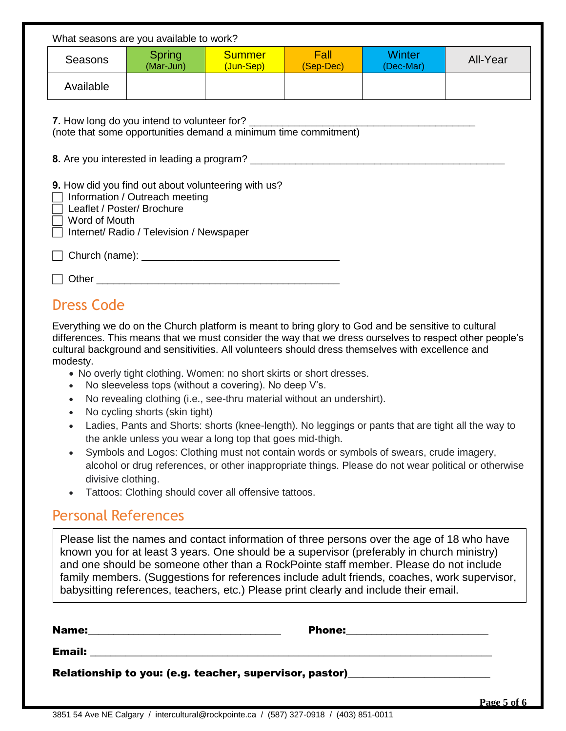| What seasons are you available to work?                                                                                                                                          |                            |                            |                   |                            |          |  |
|----------------------------------------------------------------------------------------------------------------------------------------------------------------------------------|----------------------------|----------------------------|-------------------|----------------------------|----------|--|
| <b>Seasons</b>                                                                                                                                                                   | <b>Spring</b><br>(Mar-Jun) | <b>Summer</b><br>(Jun-Sep) | Fall<br>(Sep-Dec) | <b>Winter</b><br>(Dec-Mar) | All-Year |  |
| Available                                                                                                                                                                        |                            |                            |                   |                            |          |  |
| 7. How long do you intend to volunteer for?<br>(note that some opportunities demand a minimum time commitment)                                                                   |                            |                            |                   |                            |          |  |
| 9. How did you find out about volunteering with us?<br>Information / Outreach meeting<br>Leaflet / Poster/ Brochure<br>Word of Mouth<br>Internet/ Radio / Television / Newspaper |                            |                            |                   |                            |          |  |
|                                                                                                                                                                                  |                            |                            |                   |                            |          |  |
|                                                                                                                                                                                  |                            |                            |                   |                            |          |  |
| <b>Dress Code</b>                                                                                                                                                                |                            |                            |                   |                            |          |  |

Everything we do on the Church platform is meant to bring glory to God and be sensitive to cultural differences. This means that we must consider the way that we dress ourselves to respect other people's cultural background and sensitivities. All volunteers should dress themselves with excellence and modesty.

- No overly tight clothing. Women: no short skirts or short dresses.
- No sleeveless tops (without a covering). No deep V's.
- No revealing clothing (i.e., see-thru material without an undershirt).
- No cycling shorts (skin tight)
- Ladies, Pants and Shorts: shorts (knee-length). No leggings or pants that are tight all the way to the ankle unless you wear a long top that goes mid-thigh.
- Symbols and Logos: Clothing must not contain words or symbols of swears, crude imagery, alcohol or drug references, or other inappropriate things. Please do not wear political or otherwise divisive clothing.
- Tattoos: Clothing should cover all offensive tattoos.

#### Personal References

Please list the names and contact information of three persons over the age of 18 who have known you for at least 3 years. One should be a supervisor (preferably in church ministry) and one should be someone other than a RockPointe staff member. Please do not include family members. (Suggestions for references include adult friends, coaches, work supervisor, babysitting references, teachers, etc.) Please print clearly and include their email.

| Name:<br><u> 1989 - Johann Stoff, amerikansk politiker (d. 1989)</u>             | <b>Phone:</b> |  |
|----------------------------------------------------------------------------------|---------------|--|
| <b>Email:</b>                                                                    |               |  |
| Relationship to you: (e.g. teacher, supervisor, pastor)_________________________ |               |  |
|                                                                                  |               |  |

**Page 5 of 6**